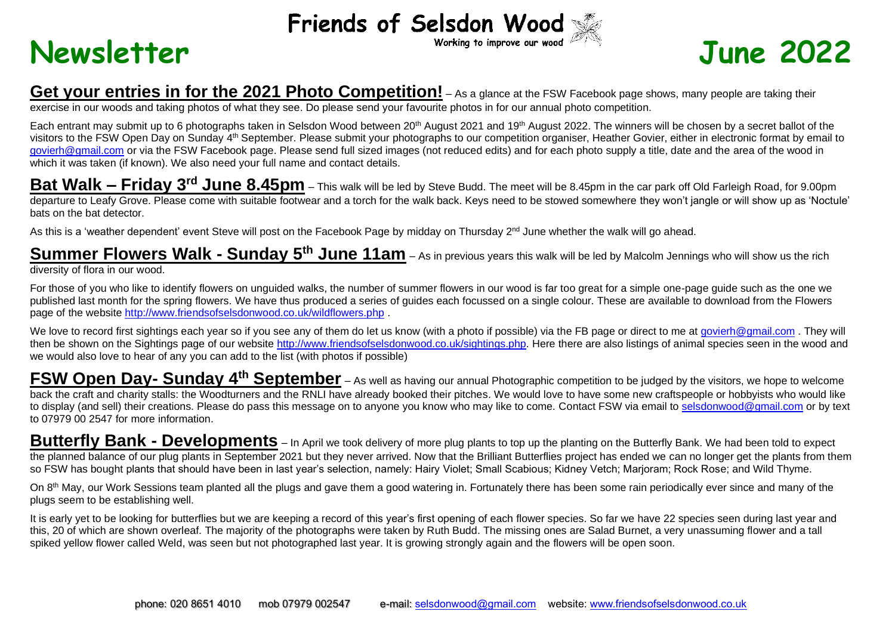## Friends of Selsdon Wood



## **Get your entries in for the 2021 Photo Competition!** – As a glance at the FSW Facebook page shows, many people are taking their exercise in our woods and taking photos of what they see. Do please send your favourite photos in for our annual photo competition.

Each entrant may submit up to 6 photographs taken in Selsdon Wood between 20<sup>th</sup> August 2021 and 19<sup>th</sup> August 2022. The winners will be chosen by a secret ballot of the visitors to the FSW Open Day on Sunday 4<sup>th</sup> September. Please submit your photographs to our competition organiser, Heather Govier, either in electronic format by email to [govierh@gmail.com](mailto:govierh@gmail.com) or via the FSW Facebook page. Please send full sized images (not reduced edits) and for each photo supply a title, date and the area of the wood in which it was taken (if known). We also need your full name and contact details.

**Bat Walk – Friday 3 rd June 8.45pm** – This walk will be led by Steve Budd. The meet will be 8.45pm in the car park off Old Farleigh Road, for 9.00pm departure to Leafy Grove. Please come with suitable footwear and a torch for the walk back. Keys need to be stowed somewhere they won't jangle or will show up as 'Noctule' bats on the bat detector.

As this is a 'weather dependent' event Steve will post on the Facebook Page by midday on Thursday 2<sup>nd</sup> June whether the walk will go ahead.

**Summer Flowers Walk - Sunday 5 th June 11am** – As in previous years this walk will be led by Malcolm Jennings who will show us the rich diversity of flora in our wood.

For those of you who like to identify flowers on unguided walks, the number of summer flowers in our wood is far too great for a simple one-page guide such as the one we published last month for the spring flowers. We have thus produced a series of guides each focussed on a single colour. These are available to download from the Flowers page of the website<http://www.friendsofselsdonwood.co.uk/wildflowers.php>

We love to record first sightings each year so if you see any of them do let us know (with a photo if possible) via the FB page or direct to me at [govierh@gmail.com](mailto:govierh@gmail.com). They will then be shown on the Sightings page of our website [http://www.friendsofselsdonwood.co.uk/sightings.php.](http://www.friendsofselsdonwood.co.uk/sightings.php) Here there are also listings of animal species seen in the wood and we would also love to hear of any you can add to the list (with photos if possible)

FSW Open Day- Sunday 4<sup>th</sup> September – As well as having our annual Photographic competition to be judged by the visitors, we hope to welcome back the craft and charity stalls: the Woodturners and the RNLI have already booked their pitches. We would love to have some new craftspeople or hobbyists who would like to display (and sell) their creations. Please do pass this message on to anyone you know who may like to come. Contact FSW via email to [selsdonwood@gmail.com](mailto:selsdonwood@gmail.com) or by text to 07979 00 2547 for more information.

**Butterfly Bank - Developments** – In April we took delivery of more plug plants to top up the planting on the Butterfly Bank. We had been told to expect the planned balance of our plug plants in September 2021 but they never arrived. Now that the Brilliant Butterflies project has ended we can no longer get the plants from them so FSW has bought plants that should have been in last year's selection, namely: Hairy Violet; Small Scabious; Kidney Vetch; Marjoram; Rock Rose; and Wild Thyme.

On 8<sup>th</sup> May, our Work Sessions team planted all the plugs and gave them a good watering in. Fortunately there has been some rain periodically ever since and many of the plugs seem to be establishing well.

It is early yet to be looking for butterflies but we are keeping a record of this year's first opening of each flower species. So far we have 22 species seen during last year and this, 20 of which are shown overleaf. The majority of the photographs were taken by Ruth Budd. The missing ones are Salad Burnet, a very unassuming flower and a tall spiked yellow flower called Weld, was seen but not photographed last year. It is growing strongly again and the flowers will be open soon.